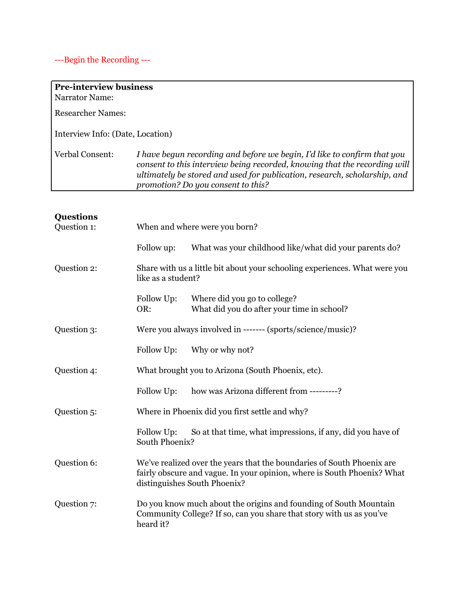## ---Begin the Recording ---

| <b>Pre-interview business</b>                                                                                                                                                                                                                                            |
|--------------------------------------------------------------------------------------------------------------------------------------------------------------------------------------------------------------------------------------------------------------------------|
|                                                                                                                                                                                                                                                                          |
|                                                                                                                                                                                                                                                                          |
| Interview Info: (Date, Location)                                                                                                                                                                                                                                         |
| I have begun recording and before we begin, I'd like to confirm that you<br>consent to this interview being recorded, knowing that the recording will<br>ultimately be stored and used for publication, research, scholarship, and<br>promotion? Do you consent to this? |
|                                                                                                                                                                                                                                                                          |
|                                                                                                                                                                                                                                                                          |

## **Questions**

| Question 1: | When and where were you born?                     |                                                                                                                                                                                   |  |
|-------------|---------------------------------------------------|-----------------------------------------------------------------------------------------------------------------------------------------------------------------------------------|--|
|             | Follow up:                                        | What was your childhood like/what did your parents do?                                                                                                                            |  |
| Question 2: | like as a student?                                | Share with us a little bit about your schooling experiences. What were you                                                                                                        |  |
|             | Follow Up:<br>OR:                                 | Where did you go to college?<br>What did you do after your time in school?                                                                                                        |  |
| Question 3: |                                                   | Were you always involved in ------- (sports/science/music)?                                                                                                                       |  |
|             | Follow Up:                                        | Why or why not?                                                                                                                                                                   |  |
| Question 4: | What brought you to Arizona (South Phoenix, etc). |                                                                                                                                                                                   |  |
|             | Follow Up:                                        | how was Arizona different from ---------?                                                                                                                                         |  |
| Question 5: | Where in Phoenix did you first settle and why?    |                                                                                                                                                                                   |  |
|             | Follow Up:<br>South Phoenix?                      | So at that time, what impressions, if any, did you have of                                                                                                                        |  |
| Question 6: |                                                   | We've realized over the years that the boundaries of South Phoenix are<br>fairly obscure and vague. In your opinion, where is South Phoenix? What<br>distinguishes South Phoenix? |  |
| Question 7: | heard it?                                         | Do you know much about the origins and founding of South Mountain<br>Community College? If so, can you share that story with us as you've                                         |  |